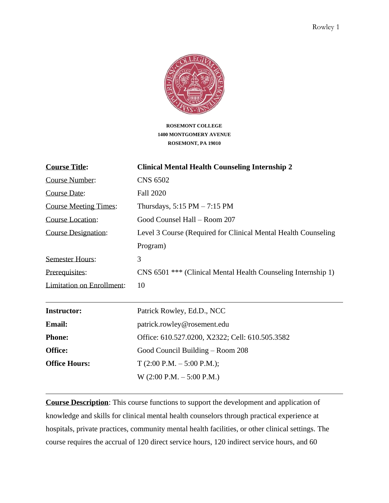

**ROSEMONT COLLEGE 1400 MONTGOMERY AVENUE ROSEMONT, PA 19010**

| <b>Clinical Mental Health Counseling Internship 2</b>          |
|----------------------------------------------------------------|
| <b>CNS 6502</b>                                                |
| <b>Fall 2020</b>                                               |
| Thursdays, $5:15$ PM $-7:15$ PM                                |
| Good Counsel Hall - Room 207                                   |
| Level 3 Course (Required for Clinical Mental Health Counseling |
| Program)                                                       |
| 3                                                              |
| CNS 6501 *** (Clinical Mental Health Counseling Internship 1)  |
| 10                                                             |
|                                                                |
| Patrick Rowley, Ed.D., NCC                                     |
| patrick.rowley@rosement.edu                                    |
| Office: 610.527.0200, X2322; Cell: 610.505.3582                |
| Good Council Building – Room 208                               |
| $T(2:00 P.M. - 5:00 P.M.);$                                    |
| $W(2:00 P.M. - 5:00 P.M.)$                                     |
|                                                                |

**Course Description**: This course functions to support the development and application of knowledge and skills for clinical mental health counselors through practical experience at hospitals, private practices, community mental health facilities, or other clinical settings. The course requires the accrual of 120 direct service hours, 120 indirect service hours, and 60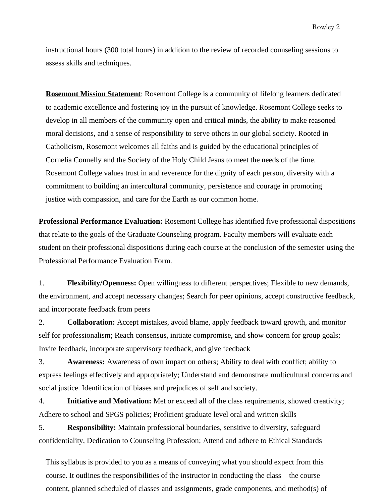instructional hours (300 total hours) in addition to the review of recorded counseling sessions to assess skills and techniques.

**Rosemont Mission Statement**: Rosemont College is a community of lifelong learners dedicated to academic excellence and fostering joy in the pursuit of knowledge. Rosemont College seeks to develop in all members of the community open and critical minds, the ability to make reasoned moral decisions, and a sense of responsibility to serve others in our global society. Rooted in Catholicism, Rosemont welcomes all faiths and is guided by the educational principles of Cornelia Connelly and the Society of the Holy Child Jesus to meet the needs of the time. Rosemont College values trust in and reverence for the dignity of each person, diversity with a commitment to building an intercultural community, persistence and courage in promoting justice with compassion, and care for the Earth as our common home.

**Professional Performance Evaluation:** Rosemont College has identified five professional dispositions that relate to the goals of the Graduate Counseling program. Faculty members will evaluate each student on their professional dispositions during each course at the conclusion of the semester using the Professional Performance Evaluation Form.

1. **Flexibility/Openness:** Open willingness to different perspectives; Flexible to new demands, the environment, and accept necessary changes; Search for peer opinions, accept constructive feedback, and incorporate feedback from peers

2. **Collaboration:** Accept mistakes, avoid blame, apply feedback toward growth, and monitor self for professionalism; Reach consensus, initiate compromise, and show concern for group goals; Invite feedback, incorporate supervisory feedback, and give feedback

3. **Awareness:** Awareness of own impact on others; Ability to deal with conflict; ability to express feelings effectively and appropriately; Understand and demonstrate multicultural concerns and social justice. Identification of biases and prejudices of self and society.

4. **Initiative and Motivation:** Met or exceed all of the class requirements, showed creativity; Adhere to school and SPGS policies; Proficient graduate level oral and written skills

5. **Responsibility:** Maintain professional boundaries, sensitive to diversity, safeguard confidentiality, Dedication to Counseling Profession; Attend and adhere to Ethical Standards

This syllabus is provided to you as a means of conveying what you should expect from this course. It outlines the responsibilities of the instructor in conducting the class – the course content, planned scheduled of classes and assignments, grade components, and method(s) of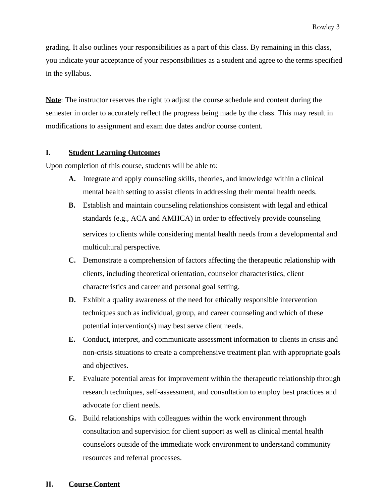grading. It also outlines your responsibilities as a part of this class. By remaining in this class, you indicate your acceptance of your responsibilities as a student and agree to the terms specified in the syllabus.

**Note**: The instructor reserves the right to adjust the course schedule and content during the semester in order to accurately reflect the progress being made by the class. This may result in modifications to assignment and exam due dates and/or course content.

#### **I. Student Learning Outcomes**

Upon completion of this course, students will be able to:

- **A.** Integrate and apply counseling skills, theories, and knowledge within a clinical mental health setting to assist clients in addressing their mental health needs.
- **B.** Establish and maintain counseling relationships consistent with legal and ethical standards (e.g., ACA and AMHCA) in order to effectively provide counseling services to clients while considering mental health needs from a developmental and multicultural perspective.
- **C.** Demonstrate a comprehension of factors affecting the therapeutic relationship with clients, including theoretical orientation, counselor characteristics, client characteristics and career and personal goal setting.
- **D.** Exhibit a quality awareness of the need for ethically responsible intervention techniques such as individual, group, and career counseling and which of these potential intervention(s) may best serve client needs.
- **E.** Conduct, interpret, and communicate assessment information to clients in crisis and non-crisis situations to create a comprehensive treatment plan with appropriate goals and objectives.
- **F.** Evaluate potential areas for improvement within the therapeutic relationship through research techniques, self-assessment, and consultation to employ best practices and advocate for client needs.
- **G.** Build relationships with colleagues within the work environment through consultation and supervision for client support as well as clinical mental health counselors outside of the immediate work environment to understand community resources and referral processes.

#### **II. Course Content**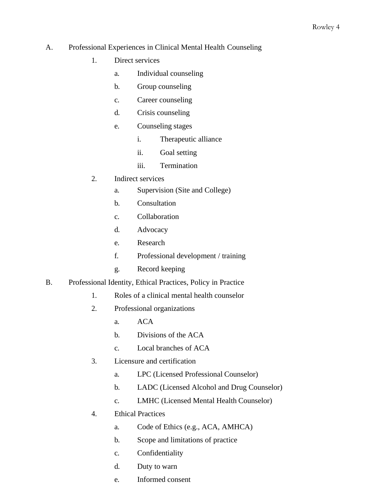### A. Professional Experiences in Clinical Mental Health Counseling

- 1. Direct services
	- a. Individual counseling
	- b. Group counseling
	- c. Career counseling
	- d. Crisis counseling
	- e. Counseling stages
		- i. Therapeutic alliance
		- ii. Goal setting
		- iii. Termination
- 2. Indirect services
	- a. Supervision (Site and College)
	- b. Consultation
	- c. Collaboration
	- d. Advocacy
	- e. Research
	- f. Professional development / training
	- g. Record keeping
- B. Professional Identity, Ethical Practices, Policy in Practice
	- 1. Roles of a clinical mental health counselor
	- 2. Professional organizations
		- a. ACA
		- b. Divisions of the ACA
		- c. Local branches of ACA
	- 3. Licensure and certification
		- a. LPC (Licensed Professional Counselor)
		- b. LADC (Licensed Alcohol and Drug Counselor)
		- c. LMHC (Licensed Mental Health Counselor)
	- 4. Ethical Practices
		- a. Code of Ethics (e.g., ACA, AMHCA)
		- b. Scope and limitations of practice
		- c. Confidentiality
		- d. Duty to warn
		- e. Informed consent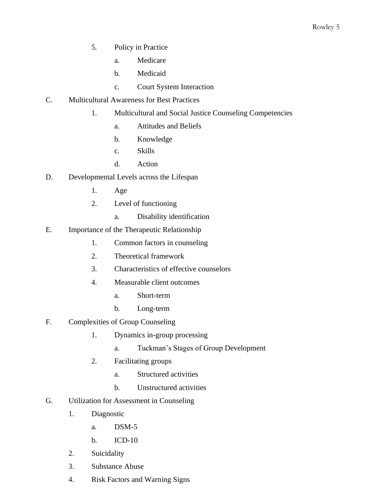- 5. Policy in Practice
	- a. Medicare
	- b. Medicaid
	- c. Court System Interaction
- C. Multicultural Awareness for Best Practices
	- 1. Multicultural and Social Justice Counseling Competencies
		- a. Attitudes and Beliefs
		- b. Knowledge
		- c. Skills
		- d. Action
- D. Developmental Levels across the Lifespan
	- 1. Age
	- 2. Level of functioning
		- a. Disability identification
- E. Importance of the Therapeutic Relationship
	- 1. Common factors in counseling
	- 2. Theoretical framework
	- 3. Characteristics of effective counselors
	- 4. Measurable client outcomes
		- a. Short-term
		- b. Long-term
- F. Complexities of Group Counseling
	- 1. Dynamics in-group processing
		- a. Tuckman's Stages of Group Development
	- 2. Facilitating groups
		- a. Structured activities
		- b. Unstructured activities
- G. Utilization for Assessment in Counseling
	- 1. Diagnostic
		- a. DSM-5
		- b. ICD-10
	- 2. Suicidality
	- 3. Substance Abuse
	- 4. Risk Factors and Warning Signs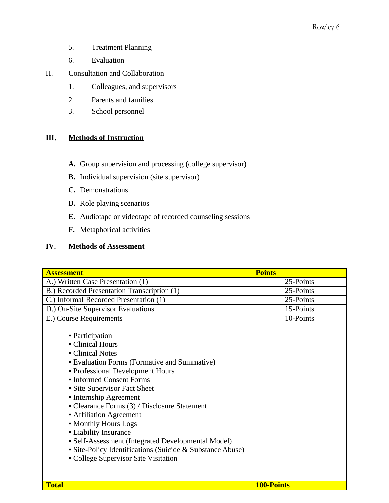- 5. Treatment Planning
- 6. Evaluation
- H. Consultation and Collaboration
	- 1. Colleagues, and supervisors
	- 2. Parents and families
	- 3. School personnel

# **III. Methods of Instruction**

- **A.** Group supervision and processing (college supervisor)
- **B.** Individual supervision (site supervisor)
- **C.** Demonstrations
- **D.** Role playing scenarios
- **E.** Audiotape or videotape of recorded counseling sessions
- **F.** Metaphorical activities

## **IV. Methods of Assessment**

| <b>Assessment</b>                                         | <b>Points</b>     |
|-----------------------------------------------------------|-------------------|
| A.) Written Case Presentation (1)                         | 25-Points         |
| B.) Recorded Presentation Transcription (1)               | 25-Points         |
| C.) Informal Recorded Presentation (1)                    | 25-Points         |
| D.) On-Site Supervisor Evaluations                        | 15-Points         |
| E.) Course Requirements                                   | 10-Points         |
|                                                           |                   |
| • Participation                                           |                   |
| • Clinical Hours                                          |                   |
| • Clinical Notes                                          |                   |
| • Evaluation Forms (Formative and Summative)              |                   |
| • Professional Development Hours                          |                   |
| • Informed Consent Forms                                  |                   |
| • Site Supervisor Fact Sheet                              |                   |
| • Internship Agreement                                    |                   |
| • Clearance Forms $(3)$ / Disclosure Statement            |                   |
| • Affiliation Agreement                                   |                   |
| • Monthly Hours Logs                                      |                   |
| • Liability Insurance                                     |                   |
| • Self-Assessment (Integrated Developmental Model)        |                   |
| • Site-Policy Identifications (Suicide & Substance Abuse) |                   |
| • College Supervisor Site Visitation                      |                   |
|                                                           |                   |
|                                                           |                   |
| <b>Total</b>                                              | <b>100-Points</b> |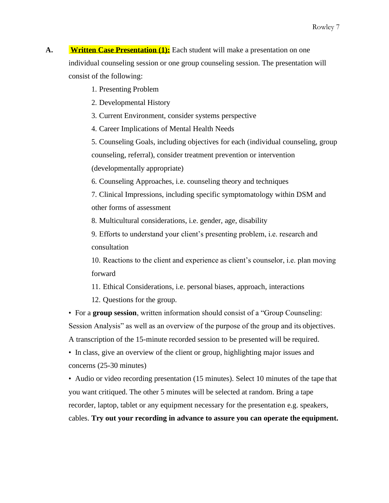- A. **Written Case Presentation (1):** Each student will make a presentation on one individual counseling session or one group counseling session. The presentation will consist of the following:
	- 1. Presenting Problem
	- 2. Developmental History
	- 3. Current Environment, consider systems perspective
	- 4. Career Implications of Mental Health Needs
	- 5. Counseling Goals, including objectives for each (individual counseling, group counseling, referral), consider treatment prevention or intervention (developmentally appropriate)
	- 6. Counseling Approaches, i.e. counseling theory and techniques
	- 7. Clinical Impressions, including specific symptomatology within DSM and other forms of assessment
	- 8. Multicultural considerations, i.e. gender, age, disability
	- 9. Efforts to understand your client's presenting problem, i.e. research and consultation
	- 10. Reactions to the client and experience as client's counselor, i.e. plan moving forward
	- 11. Ethical Considerations, i.e. personal biases, approach, interactions
	- 12. Questions for the group.
	- For a **group session**, written information should consist of a "Group Counseling: Session Analysis" as well as an overview of the purpose of the group and its objectives. A transcription of the 15-minute recorded session to be presented will be required.
	- In class, give an overview of the client or group, highlighting major issues and concerns (25-30 minutes)
	- Audio or video recording presentation (15 minutes). Select 10 minutes of the tape that you want critiqued. The other 5 minutes will be selected at random. Bring a tape recorder, laptop, tablet or any equipment necessary for the presentation e.g. speakers, cables. **Try out your recording in advance to assure you can operate the equipment.**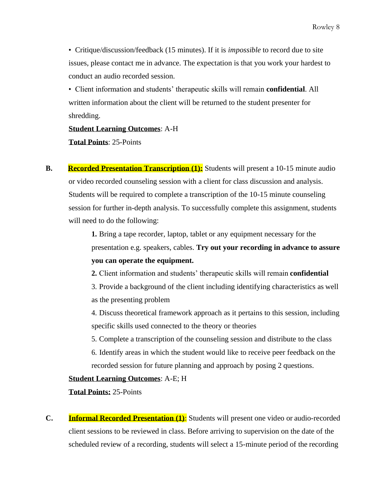• Critique/discussion/feedback (15 minutes). If it is *impossible* to record due to site issues, please contact me in advance. The expectation is that you work your hardest to conduct an audio recorded session.

• Client information and students' therapeutic skills will remain **confidential**. All written information about the client will be returned to the student presenter for shredding.

### **Student Learning Outcomes**: A-H

**Total Points**: 25-Points

**B. Recorded Presentation Transcription (1):** Students will present a 10-15 minute audio or video recorded counseling session with a client for class discussion and analysis. Students will be required to complete a transcription of the 10-15 minute counseling session for further in-depth analysis. To successfully complete this assignment, students will need to do the following:

> **1.** Bring a tape recorder, laptop, tablet or any equipment necessary for the presentation e.g. speakers, cables. **Try out your recording in advance to assure you can operate the equipment.**

- **2.** Client information and students' therapeutic skills will remain **confidential**
- 3. Provide a background of the client including identifying characteristics as well as the presenting problem
- 4. Discuss theoretical framework approach as it pertains to this session, including specific skills used connected to the theory or theories
- 5. Complete a transcription of the counseling session and distribute to the class
- 6. Identify areas in which the student would like to receive peer feedback on the recorded session for future planning and approach by posing 2 questions.

#### **Student Learning Outcomes**: A-E; H

**Total Points:** 25-Points

**C. Informal Recorded Presentation (1):** Students will present one video or audio-recorded client sessions to be reviewed in class. Before arriving to supervision on the date of the scheduled review of a recording, students will select a 15-minute period of the recording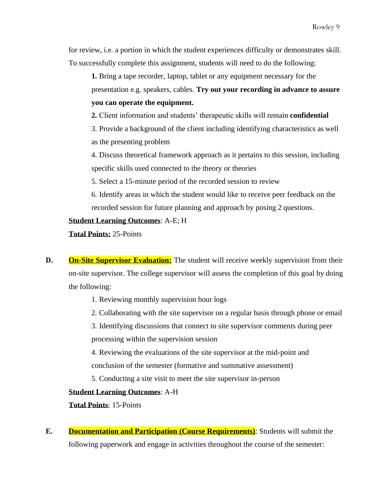for review, i.e. a portion in which the student experiences difficulty or demonstrates skill. To successfully complete this assignment, students will need to do the following:

**1.** Bring a tape recorder, laptop, tablet or any equipment necessary for the presentation e.g. speakers, cables. **Try out your recording in advance to assure you can operate the equipment.**

**2.** Client information and students' therapeutic skills will remain **confidential**

3. Provide a background of the client including identifying characteristics as well as the presenting problem

4. Discuss theoretical framework approach as it pertains to this session, including specific skills used connected to the theory or theories

5. Select a 15-minute period of the recorded session to review

6. Identify areas in which the student would like to receive peer feedback on the recorded session for future planning and approach by posing 2 questions.

## **Student Learning Outcomes**: A-E; H

**Total Points:** 25-Points

- **D. On-Site Supervisor Evaluation:** The student will receive weekly supervision from their on-site supervisor. The college supervisor will assess the completion of this goal by doing the following:
	- 1. Reviewing monthly supervision hour logs
	- 2. Collaborating with the site supervisor on a regular basis through phone or email

3. Identifying discussions that connect to site supervisor comments during peer processing within the supervision session

4. Reviewing the evaluations of the site supervisor at the mid-point and conclusion of the semester (formative and summative assessment)

5. Conducting a site visit to meet the site supervisor in-person

# **Student Learning Outcomes**: A-H

**Total Points**: 15-Points

**E. Documentation and Participation (Course Requirements)**: Students will submit the following paperwork and engage in activities throughout the course of the semester: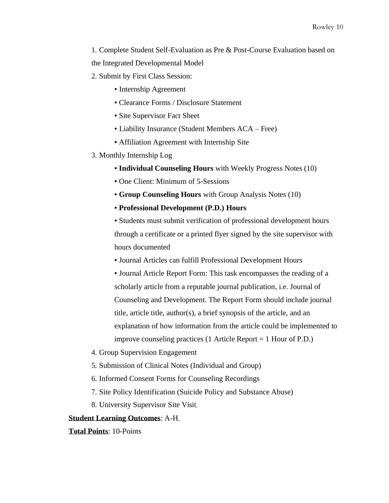1. Complete Student Self-Evaluation as Pre & Post-Course Evaluation based on the Integrated Developmental Model

- 2. Submit by First Class Session:
	- Internship Agreement
	- Clearance Forms / Disclosure Statement
	- Site Supervisor Fact Sheet
	- Liability Insurance (Student Members ACA Free)
	- Affiliation Agreement with Internship Site
- 3. Monthly Internship Log
	- **Individual Counseling Hours** with Weekly Progress Notes (10)
	- One Client: Minimum of 5-Sessions
	- **Group Counseling Hours** with Group Analysis Notes (10)
	- **Professional Development (P.D.) Hours**

▪ Students must submit verification of professional development hours through a certificate or a printed flyer signed by the site supervisor with hours documented

▪ Journal Articles can fulfill Professional Development Hours

▪ Journal Article Report Form: This task encompasses the reading of a scholarly article from a reputable journal publication, i.e. Journal of Counseling and Development. The Report Form should include journal title, article title, author(s), a brief synopsis of the article, and an explanation of how information from the article could be implemented to improve counseling practices (1 Article Report = 1 Hour of P.D.)

- 4. Group Supervision Engagement
- 5. Submission of Clinical Notes (Individual and Group)
- 6. Informed Consent Forms for Counseling Recordings
- 7. Site Policy Identification (Suicide Policy and Substance Abuse)
- 8. University Supervisor Site Visit

#### **Student Learning Outcomes**: A-H

**Total Points**: 10-Points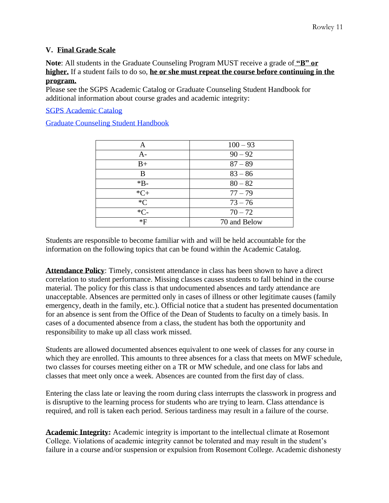# **V. Final Grade Scale**

**Note**: All students in the Graduate Counseling Program MUST receive a grade of **"B" or higher.** If a student fails to do so, **he or she must repeat the course before continuing in the program.**

Please see the SGPS Academic Catalog or Graduate Counseling Student Handbook for additional information about course grades and academic integrity:

SGPS Academic Catalog

Graduate Counseling Student Handbook

| Α      | $100 - 93$   |
|--------|--------------|
| A-     | $90 - 92$    |
| $B+$   | $87 - 89$    |
| B      | $83 - 86$    |
| $*B-$  | $80 - 82$    |
| $*C+$  | $77 - 79$    |
| $C^*C$ | $73 - 76$    |
| $*C-$  | $70 - 72$    |
| *F     | 70 and Below |

Students are responsible to become familiar with and will be held accountable for the information on the following topics that can be found within the Academic Catalog.

**Attendance Policy**: Timely, consistent attendance in class has been shown to have a direct correlation to student performance. Missing classes causes students to fall behind in the course material. The policy for this class is that undocumented absences and tardy attendance are unacceptable. Absences are permitted only in cases of illness or other legitimate causes (family emergency, death in the family, etc.). Official notice that a student has presented documentation for an absence is sent from the Office of the Dean of Students to faculty on a timely basis. In cases of a documented absence from a class, the student has both the opportunity and responsibility to make up all class work missed.

Students are allowed documented absences equivalent to one week of classes for any course in which they are enrolled. This amounts to three absences for a class that meets on MWF schedule, two classes for courses meeting either on a TR or MW schedule, and one class for labs and classes that meet only once a week. Absences are counted from the first day of class.

Entering the class late or leaving the room during class interrupts the classwork in progress and is disruptive to the learning process for students who are trying to learn. Class attendance is required, and roll is taken each period. Serious tardiness may result in a failure of the course.

**Academic Integrity:** Academic integrity is important to the intellectual climate at Rosemont College. Violations of academic integrity cannot be tolerated and may result in the student's failure in a course and/or suspension or expulsion from Rosemont College. Academic dishonesty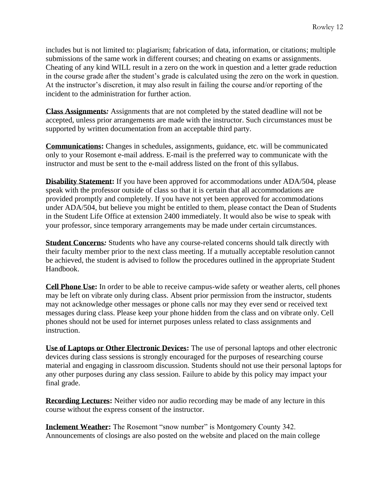includes but is not limited to: plagiarism; fabrication of data, information, or citations; multiple submissions of the same work in different courses; and cheating on exams or assignments. Cheating of any kind WILL result in a zero on the work in question and a letter grade reduction in the course grade after the student's grade is calculated using the zero on the work in question. At the instructor's discretion, it may also result in failing the course and/or reporting of the incident to the administration for further action.

**Class Assignments***:* Assignments that are not completed by the stated deadline will not be accepted, unless prior arrangements are made with the instructor. Such circumstances must be supported by written documentation from an acceptable third party.

**Communications:** Changes in schedules, assignments, guidance, etc. will be communicated only to your Rosemont e-mail address. E-mail is the preferred way to communicate with the instructor and must be sent to the e-mail address listed on the front of this syllabus.

**Disability Statement:** If you have been approved for accommodations under ADA/504, please speak with the professor outside of class so that it is certain that all accommodations are provided promptly and completely. If you have not yet been approved for accommodations under ADA/504, but believe you might be entitled to them, please contact the Dean of Students in the Student Life Office at extension 2400 immediately. It would also be wise to speak with your professor, since temporary arrangements may be made under certain circumstances.

**Student Concerns***:* Students who have any course-related concerns should talk directly with their faculty member prior to the next class meeting. If a mutually acceptable resolution cannot be achieved, the student is advised to follow the procedures outlined in the appropriate Student Handbook.

**Cell Phone Use:** In order to be able to receive campus-wide safety or weather alerts, cell phones may be left on vibrate only during class. Absent prior permission from the instructor, students may not acknowledge other messages or phone calls nor may they ever send or received text messages during class. Please keep your phone hidden from the class and on vibrate only. Cell phones should not be used for internet purposes unless related to class assignments and instruction.

**Use of Laptops or Other Electronic Devices:** The use of personal laptops and other electronic devices during class sessions is strongly encouraged for the purposes of researching course material and engaging in classroom discussion. Students should not use their personal laptops for any other purposes during any class session. Failure to abide by this policy may impact your final grade.

**Recording Lectures:** Neither video nor audio recording may be made of any lecture in this course without the express consent of the instructor.

**Inclement Weather:** The Rosemont "snow number" is Montgomery County 342. Announcements of closings are also posted on the website and placed on the main college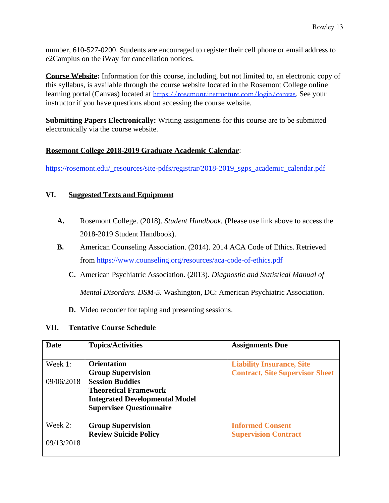number, 610-527-0200. Students are encouraged to register their cell phone or email address to e2Camplus on the iWay for cancellation notices.

**Course Website:** Information for this course, including, but not limited to, an electronic copy of this syllabus, is available through the course website located in the Rosemont College online learning portal (Canvas) located at <https://rosemont.instructure.com/login/canvas>. See your instructor if you have questions about accessing the course website.

**Submitting Papers Electronically:** Writing assignments for this course are to be submitted electronically via the course website.

## **Rosemont College 2018-2019 Graduate Academic Calendar**:

[https://rosemont.edu/\\_resources/site-pdfs/registrar/2018-2019\\_sgps\\_academic\\_calendar.pdf](https://rosemont.edu/_resources/site-pdfs/registrar/2018-2019_sgps_academic_calendar.pdf)

## **VI. Suggested Texts and Equipment**

- **A.** Rosemont College. (2018). *Student Handbook.* (Please use link above to access the 2018-2019 Student Handbook).
- **B.** American Counseling Association. (2014). 2014 ACA Code of Ethics. Retrieved from <https://www.counseling.org/resources/aca-code-of-ethics.pdf>
	- **C.** American Psychiatric Association. (2013). *Diagnostic and Statistical Manual of*

*Mental Disorders. DSM-5.* Washington, DC: American Psychiatric Association.

**D.** Video recorder for taping and presenting sessions.

### **VII. Tentative Course Schedule**

| Date       | <b>Topics/Activities</b>              | <b>Assignments Due</b>                 |
|------------|---------------------------------------|----------------------------------------|
|            |                                       |                                        |
| Week 1:    | <b>Orientation</b>                    | <b>Liability Insurance, Site</b>       |
|            | <b>Group Supervision</b>              | <b>Contract, Site Supervisor Sheet</b> |
| 09/06/2018 | <b>Session Buddies</b>                |                                        |
|            | <b>Theoretical Framework</b>          |                                        |
|            | <b>Integrated Developmental Model</b> |                                        |
|            | <b>Supervisee Questionnaire</b>       |                                        |
|            |                                       |                                        |
| Week 2:    | <b>Group Supervision</b>              | <b>Informed Consent</b>                |
|            | <b>Review Suicide Policy</b>          | <b>Supervision Contract</b>            |
| 09/13/2018 |                                       |                                        |
|            |                                       |                                        |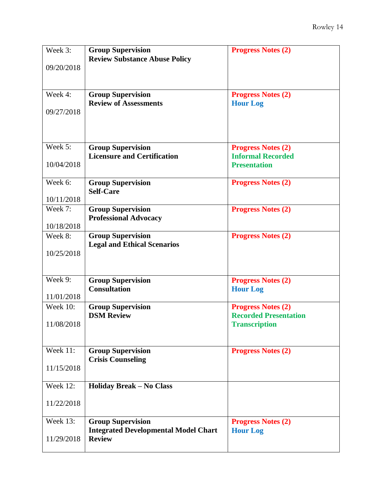| Week 3:         | <b>Group Supervision</b>                                                | <b>Progress Notes (2)</b>                             |
|-----------------|-------------------------------------------------------------------------|-------------------------------------------------------|
|                 | <b>Review Substance Abuse Policy</b>                                    |                                                       |
| 09/20/2018      |                                                                         |                                                       |
|                 |                                                                         |                                                       |
| Week 4:         | <b>Group Supervision</b>                                                | <b>Progress Notes (2)</b>                             |
|                 | <b>Review of Assessments</b>                                            | <b>Hour Log</b>                                       |
| 09/27/2018      |                                                                         |                                                       |
|                 |                                                                         |                                                       |
|                 |                                                                         |                                                       |
| Week 5:         |                                                                         |                                                       |
|                 | <b>Group Supervision</b><br><b>Licensure and Certification</b>          | <b>Progress Notes (2)</b><br><b>Informal Recorded</b> |
| 10/04/2018      |                                                                         | <b>Presentation</b>                                   |
|                 |                                                                         |                                                       |
| Week 6:         | <b>Group Supervision</b>                                                | <b>Progress Notes (2)</b>                             |
|                 | <b>Self-Care</b>                                                        |                                                       |
| 10/11/2018      |                                                                         |                                                       |
| Week 7:         | <b>Group Supervision</b>                                                | <b>Progress Notes (2)</b>                             |
| 10/18/2018      | <b>Professional Advocacy</b>                                            |                                                       |
| Week 8:         | <b>Group Supervision</b>                                                | <b>Progress Notes (2)</b>                             |
|                 | <b>Legal and Ethical Scenarios</b>                                      |                                                       |
| 10/25/2018      |                                                                         |                                                       |
|                 |                                                                         |                                                       |
|                 |                                                                         |                                                       |
| Week 9:         | <b>Group Supervision</b>                                                | <b>Progress Notes (2)</b>                             |
| 11/01/2018      | <b>Consultation</b>                                                     | <b>Hour Log</b>                                       |
| <b>Week 10:</b> | <b>Group Supervision</b>                                                | <b>Progress Notes (2)</b>                             |
|                 | <b>DSM Review</b>                                                       | <b>Recorded Presentation</b>                          |
| 11/08/2018      |                                                                         | <b>Transcription</b>                                  |
|                 |                                                                         |                                                       |
| Week 11:        |                                                                         |                                                       |
|                 | <b>Group Supervision</b><br><b>Crisis Counseling</b>                    | <b>Progress Notes (2)</b>                             |
| 11/15/2018      |                                                                         |                                                       |
|                 |                                                                         |                                                       |
| <b>Week 12:</b> | <b>Holiday Break - No Class</b>                                         |                                                       |
|                 |                                                                         |                                                       |
| 11/22/2018      |                                                                         |                                                       |
| <b>Week 13:</b> |                                                                         |                                                       |
|                 | <b>Group Supervision</b><br><b>Integrated Developmental Model Chart</b> | <b>Progress Notes (2)</b><br><b>Hour Log</b>          |
| 11/29/2018      | <b>Review</b>                                                           |                                                       |
|                 |                                                                         |                                                       |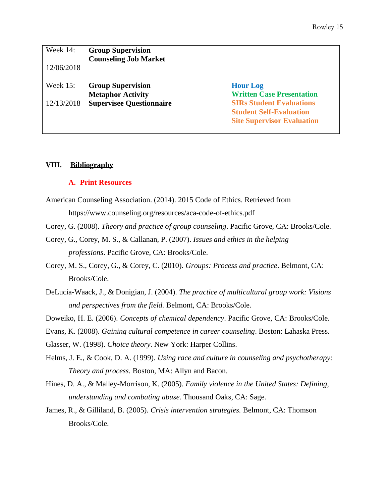| Week 14:<br>12/06/2018        | <b>Group Supervision</b><br><b>Counseling Job Market</b>                                |                                                                                                                                                               |
|-------------------------------|-----------------------------------------------------------------------------------------|---------------------------------------------------------------------------------------------------------------------------------------------------------------|
| <b>Week 15:</b><br>12/13/2018 | <b>Group Supervision</b><br><b>Metaphor Activity</b><br><b>Supervisee Questionnaire</b> | <b>Hour Log</b><br><b>Written Case Presentation</b><br><b>SIRs Student Evaluations</b><br><b>Student Self-Evaluation</b><br><b>Site Supervisor Evaluation</b> |

#### **VIII. Bibliography**

#### **A. Print Resources**

- American Counseling Association. (2014). 2015 Code of Ethics. Retrieved from ht[tps://www.counseling.org/resources/aca-code-of-ethics.pdf](http://www.counseling.org/resources/aca-code-of-ethics.pdf)
- Corey, G. (2008). *Theory and practice of group counseling*. Pacific Grove, CA: Brooks/Cole.
- Corey, G., Corey, M. S., & Callanan, P. (2007). *Issues and ethics in the helping professions*. Pacific Grove, CA: Brooks/Cole.
- Corey, M. S., Corey, G., & Corey, C. (2010). *Groups: Process and practice*. Belmont, CA: Brooks/Cole.
- DeLucia-Waack, J., & Donigian, J. (2004). *The practice of multicultural group work: Visions and perspectives from the field.* Belmont, CA: Brooks/Cole.
- Doweiko, H. E. (2006). *Concepts of chemical dependency*. Pacific Grove, CA: Brooks/Cole.
- Evans, K. (2008). *Gaining cultural competence in career counseling*. Boston: Lahaska Press.

Glasser, W. (1998). *Choice theory*. New York: Harper Collins.

- Helms, J. E., & Cook, D. A. (1999). *Using race and culture in counseling and psychotherapy: Theory and process.* Boston, MA: Allyn and Bacon.
- Hines, D. A., & Malley-Morrison, K. (2005). *Family violence in the United States: Defining, understanding and combating abuse.* Thousand Oaks, CA: Sage.
- James, R., & Gilliland, B. (2005). *Crisis intervention strategies.* Belmont, CA: Thomson Brooks/Cole.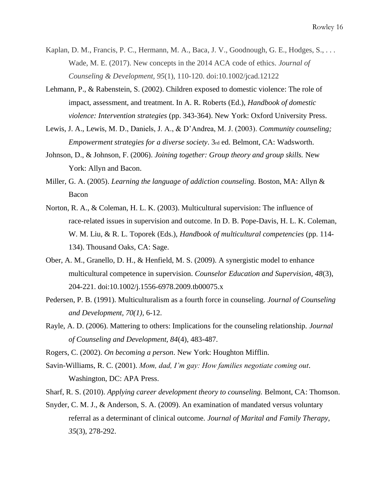- Kaplan, D. M., Francis, P. C., Hermann, M. A., Baca, J. V., Goodnough, G. E., Hodges, S., ... Wade, M. E. (2017). New concepts in the 2014 ACA code of ethics. *Journal of Counseling & Development, 95*(1), 110-120. doi:10.1002/jcad.12122
- Lehmann, P., & Rabenstein, S. (2002). Children exposed to domestic violence: The role of impact, assessment, and treatment. In A. R. Roberts (Ed.), *Handbook of domestic violence: Intervention strategies* (pp. 343-364). New York: Oxford University Press.
- Lewis, J. A., Lewis, M. D., Daniels, J. A., & D'Andrea, M. J. (2003). *Community counseling; Empowerment strategies for a diverse society*. 3rd ed. Belmont, CA: Wadsworth.
- Johnson, D., & Johnson, F. (2006). *Joining together: Group theory and group skills.* New York: Allyn and Bacon.
- Miller, G. A. (2005). *Learning the language of addiction counseling.* Boston, MA: Allyn & Bacon
- Norton, R. A., & Coleman, H. L. K. (2003). Multicultural supervision: The influence of race-related issues in supervision and outcome. In D. B. Pope-Davis, H. L. K. Coleman, W. M. Liu, & R. L. Toporek (Eds.), *Handbook of multicultural competencies* (pp. 114- 134). Thousand Oaks, CA: Sage.
- Ober, A. M., Granello, D. H., & Henfield, M. S. (2009). A synergistic model to enhance multicultural competence in supervision. *Counselor Education and Supervision, 48*(3), 204-221. doi:10.1002/j.1556-6978.2009.tb00075.x
- Pedersen, P. B. (1991). Multiculturalism as a fourth force in counseling. *Journal of Counseling and Development, 70(1)*, 6-12.
- Rayle, A. D. (2006). Mattering to others: Implications for the counseling relationship. *Journal of Counseling and Development, 84*(4), 483-487.
- Rogers, C. (2002). *On becoming a person*. New York: Houghton Mifflin.
- Savin-Williams, R. C. (2001). *Mom, dad, I'm gay: How families negotiate coming out*. Washington, DC: APA Press.
- Sharf, R. S. (2010). *Applying career development theory to counseling.* Belmont, CA: Thomson.
- Snyder, C. M. J., & Anderson, S. A. (2009). An examination of mandated versus voluntary referral as a determinant of clinical outcome. *Journal of Marital and Family Therapy, 35*(3), 278-292.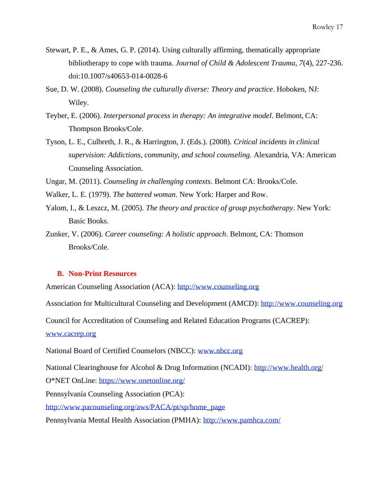- Stewart, P. E., & Ames, G. P. (2014). Using culturally affirming, thematically appropriate bibliotherapy to cope with trauma. *Journal of Child & Adolescent Trauma, 7*(4), 227-236. doi:10.1007/s40653-014-0028-6
- Sue, D. W. (2008). *Counseling the culturally diverse: Theory and practice*. Hoboken, NJ: Wiley.
- Teyber, E. (2006). *Interpersonal process in therapy: An integrative model*. Belmont, CA: Thompson Brooks/Cole.
- Tyson, L. E., Culbreth, J. R., & Harrington, J. (Eds.). (2008). *Critical incidents in clinical supervision: Addictions, community, and school counseling.* Alexandria, VA: American Counseling Association.

Ungar, M. (2011). *Counseling in challenging contexts*. Belmont CA: Brooks/Cole.

- Walker, L. E. (1979). *The battered woman*. New York: Harper and Row.
- Yalom, I., & Leszcz, M. (2005). *The theory and practice of group psychotherapy*. New York: Basic Books.
- Zunker, V. (2006). *Career counseling: A holistic approach*. Belmont, CA: Thomson Brooks/Cole.

#### **B. Non-Print Resources**

American Counseling Association (ACA): [http://www.counseling.org](http://www.counseling.org/)

Association for Multicultural Counseling and Development (AMCD): [http://www.counseling.org](http://www.counseling.org/)

Council for Accreditation of Counseling and Related Education Programs (CACREP):

[www.cacrep.org](http://www.cacrep.org/)

National Board of Certified Counselors (NBCC): [www.nbcc.org](http://www.nbcc.org/)

National Clearinghouse for Alcohol & Drug Information (NCADI):<http://www.health.org/>

O\*NET OnLine:<https://www.onetonline.org/>

Pennsylvania Counseling Association (PCA):

[http://www.pacounseling.org/aws/PACA/pt/sp/home\\_page](http://www.pacounseling.org/aws/PACA/pt/sp/home_page)

Pennsylvania Mental Health Association (PMHA):<http://www.pamhca.com/>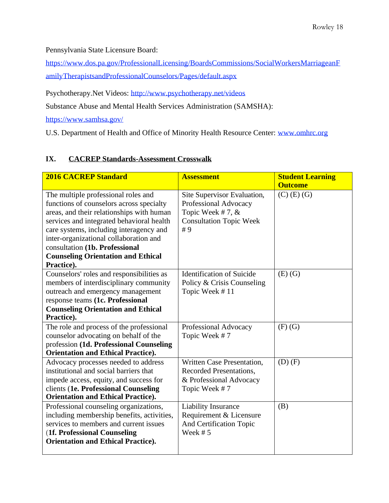Pennsylvania State Licensure Board:

[https://www.dos.pa.gov/ProfessionalLicensing/BoardsCommissions/SocialWorkersMarriageanF](https://www.dos.pa.gov/ProfessionalLicensing/BoardsCommissions/SocialWorkersMarriageanFamilyTherapistsandProfessionalCounselors/Pages/default.aspx) [amilyTherapistsandProfessionalCounselors/Pages/default.aspx](https://www.dos.pa.gov/ProfessionalLicensing/BoardsCommissions/SocialWorkersMarriageanFamilyTherapistsandProfessionalCounselors/Pages/default.aspx)

Psychotherapy.Net Videos:<http://www.psychotherapy.net/videos>

Substance Abuse and Mental Health Services Administration (SAMSHA):

<https://www.samhsa.gov/>

U.S. Department of Health and Office of Minority Health Resource Center: [www.omhrc.org](http://www.omhrc.org/)

# **IX. CACREP Standards-Assessment Crosswalk**

| <b>2016 CACREP Standard</b>                                                                                                                                                                                                                                                                                                                                 | <b>Assessment</b>                                                                                                | <b>Student Learning</b><br><b>Outcome</b> |
|-------------------------------------------------------------------------------------------------------------------------------------------------------------------------------------------------------------------------------------------------------------------------------------------------------------------------------------------------------------|------------------------------------------------------------------------------------------------------------------|-------------------------------------------|
| The multiple professional roles and<br>functions of counselors across specialty<br>areas, and their relationships with human<br>services and integrated behavioral health<br>care systems, including interagency and<br>inter-organizational collaboration and<br>consultation (1b. Professional<br><b>Counseling Orientation and Ethical</b><br>Practice). | Site Supervisor Evaluation,<br>Professional Advocacy<br>Topic Week #7, &<br><b>Consultation Topic Week</b><br>#9 | $(C)$ (E) (G)                             |
| Counselors' roles and responsibilities as<br>members of interdisciplinary community<br>outreach and emergency management<br>response teams (1c. Professional<br><b>Counseling Orientation and Ethical</b><br>Practice).                                                                                                                                     | <b>Identification of Suicide</b><br>Policy & Crisis Counseling<br>Topic Week #11                                 | $(E)$ $(G)$                               |
| The role and process of the professional<br>counselor advocating on behalf of the<br>profession (1d. Professional Counseling<br><b>Orientation and Ethical Practice).</b>                                                                                                                                                                                   | Professional Advocacy<br>Topic Week #7                                                                           | $(F)$ $(G)$                               |
| Advocacy processes needed to address<br>institutional and social barriers that<br>impede access, equity, and success for<br>clients (1e. Professional Counseling<br><b>Orientation and Ethical Practice).</b>                                                                                                                                               | Written Case Presentation,<br>Recorded Presentations.<br>& Professional Advocacy<br>Topic Week #7                | $(D)$ $(F)$                               |
| Professional counseling organizations,<br>including membership benefits, activities,<br>services to members and current issues<br>(1f. Professional Counseling<br><b>Orientation and Ethical Practice).</b>                                                                                                                                                 | <b>Liability Insurance</b><br>Requirement & Licensure<br>And Certification Topic<br>Week $# 5$                   | (B)                                       |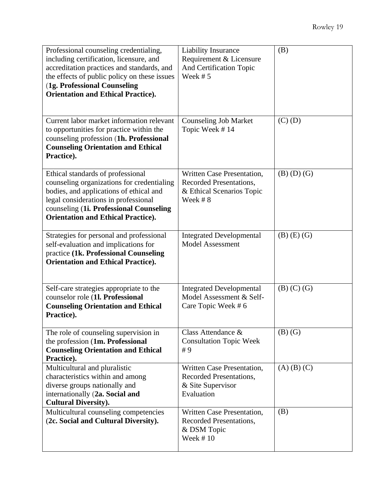| Professional counseling credentialing,<br>including certification, licensure, and<br>accreditation practices and standards, and<br>the effects of public policy on these issues<br>(1g. Professional Counseling<br><b>Orientation and Ethical Practice).</b> | <b>Liability Insurance</b><br>Requirement & Licensure<br>And Certification Topic<br>Week $# 5$ | (B)               |
|--------------------------------------------------------------------------------------------------------------------------------------------------------------------------------------------------------------------------------------------------------------|------------------------------------------------------------------------------------------------|-------------------|
| Current labor market information relevant<br>to opportunities for practice within the<br>counseling profession (1h. Professional<br><b>Counseling Orientation and Ethical</b><br>Practice).                                                                  | <b>Counseling Job Market</b><br>Topic Week #14                                                 | $(C)$ $(D)$       |
| Ethical standards of professional<br>counseling organizations for credentialing<br>bodies, and applications of ethical and<br>legal considerations in professional<br>counseling (1i. Professional Counseling<br><b>Orientation and Ethical Practice).</b>   | Written Case Presentation,<br>Recorded Presentations,<br>& Ethical Scenarios Topic<br>Week #8  | $(B)$ $(D)$ $(G)$ |
| Strategies for personal and professional<br>self-evaluation and implications for<br>practice (1k. Professional Counseling<br><b>Orientation and Ethical Practice).</b>                                                                                       | <b>Integrated Developmental</b><br><b>Model Assessment</b>                                     | $(B)$ $(E)$ $(G)$ |
| Self-care strategies appropriate to the<br>counselor role (1l. Professional<br><b>Counseling Orientation and Ethical</b><br>Practice).                                                                                                                       | <b>Integrated Developmental</b><br>Model Assessment & Self-<br>Care Topic Week #6              | $(B)$ $(C)$ $(G)$ |
| The role of counseling supervision in<br>the profession (1m. Professional<br><b>Counseling Orientation and Ethical</b><br>Practice).                                                                                                                         | Class Attendance $\&$<br><b>Consultation Topic Week</b><br>#9                                  | $(B)$ $(G)$       |
| Multicultural and pluralistic<br>characteristics within and among<br>diverse groups nationally and<br>internationally (2a. Social and<br><b>Cultural Diversity).</b>                                                                                         | Written Case Presentation,<br>Recorded Presentations,<br>& Site Supervisor<br>Evaluation       | $(A)$ $(B)$ $(C)$ |
| Multicultural counseling competencies<br>(2c. Social and Cultural Diversity).                                                                                                                                                                                | Written Case Presentation,<br>Recorded Presentations,<br>& DSM Topic<br>Week $#10$             | (B)               |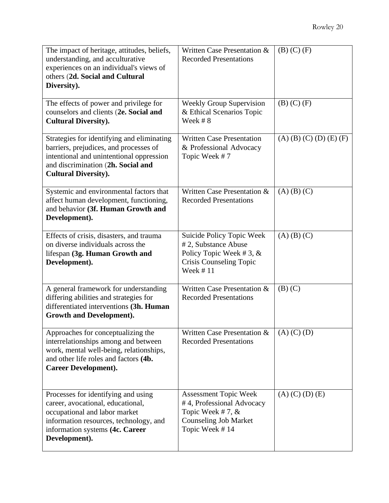| The impact of heritage, attitudes, beliefs,<br>understanding, and acculturative<br>experiences on an individual's views of<br>others (2d. Social and Cultural<br>Diversity).                            | Written Case Presentation &<br><b>Recorded Presentations</b>                                                                    | $(B)$ $(C)$ $(F)$         |
|---------------------------------------------------------------------------------------------------------------------------------------------------------------------------------------------------------|---------------------------------------------------------------------------------------------------------------------------------|---------------------------|
| The effects of power and privilege for<br>counselors and clients (2e. Social and<br><b>Cultural Diversity).</b>                                                                                         | <b>Weekly Group Supervision</b><br>& Ethical Scenarios Topic<br>Week #8                                                         | $(B)$ $(C)$ $(F)$         |
| Strategies for identifying and eliminating<br>barriers, prejudices, and processes of<br>intentional and unintentional oppression<br>and discrimination (2h. Social and<br><b>Cultural Diversity).</b>   | <b>Written Case Presentation</b><br>& Professional Advocacy<br>Topic Week #7                                                    | $(A)$ (B) (C) (D) (E) (F) |
| Systemic and environmental factors that<br>affect human development, functioning,<br>and behavior (3f. Human Growth and<br>Development).                                                                | Written Case Presentation &<br><b>Recorded Presentations</b>                                                                    | $(A)$ $(B)$ $(C)$         |
| Effects of crisis, disasters, and trauma<br>on diverse individuals across the<br>lifespan (3g. Human Growth and<br>Development).                                                                        | Suicide Policy Topic Week<br>#2, Substance Abuse<br>Policy Topic Week #3, $&$<br>Crisis Counseling Topic<br>Week $#11$          | $(A)$ $(B)$ $(C)$         |
| A general framework for understanding<br>differing abilities and strategies for<br>differentiated interventions (3h. Human<br><b>Growth and Development).</b>                                           | Written Case Presentation &<br><b>Recorded Presentations</b>                                                                    | $(B)$ $(C)$               |
| Approaches for conceptualizing the<br>interrelationships among and between<br>work, mental well-being, relationships,<br>and other life roles and factors (4b.<br><b>Career Development).</b>           | Written Case Presentation &<br><b>Recorded Presentations</b>                                                                    | $(A)$ (C) (D)             |
| Processes for identifying and using<br>career, avocational, educational,<br>occupational and labor market<br>information resources, technology, and<br>information systems (4c. Career<br>Development). | <b>Assessment Topic Week</b><br>#4, Professional Advocacy<br>Topic Week #7, &<br><b>Counseling Job Market</b><br>Topic Week #14 | $(A)$ (C) (D) (E)         |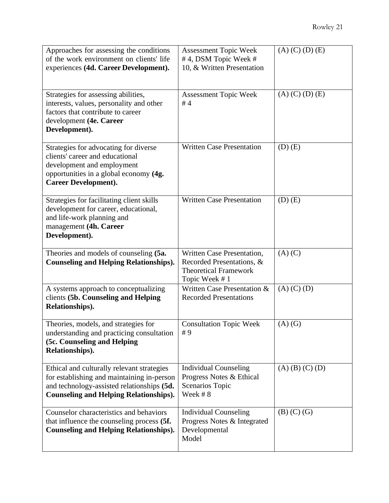| Approaches for assessing the conditions<br>of the work environment on clients' life<br>experiences (4d. Career Development).                                                            | <b>Assessment Topic Week</b><br>#4, DSM Topic Week #<br>10, & Written Presentation                       | $(A)$ (C) (D) (E) |
|-----------------------------------------------------------------------------------------------------------------------------------------------------------------------------------------|----------------------------------------------------------------------------------------------------------|-------------------|
| Strategies for assessing abilities,<br>interests, values, personality and other<br>factors that contribute to career<br>development (4e. Career<br>Development).                        | Assessment Topic Week<br>#4                                                                              | $(A)$ (C) (D) (E) |
| Strategies for advocating for diverse<br>clients' career and educational<br>development and employment<br>opportunities in a global economy (4g.<br><b>Career Development).</b>         | <b>Written Case Presentation</b>                                                                         | $(D)$ $(E)$       |
| Strategies for facilitating client skills<br>development for career, educational,<br>and life-work planning and<br>management (4h. Career<br>Development).                              | <b>Written Case Presentation</b>                                                                         | $(D)$ $(E)$       |
| Theories and models of counseling (5a.<br><b>Counseling and Helping Relationships).</b>                                                                                                 | Written Case Presentation,<br>Recorded Presentations, &<br><b>Theoretical Framework</b><br>Topic Week #1 | $(A)$ $(C)$       |
| A systems approach to conceptualizing<br>clients (5b. Counseling and Helping<br>Relationships).                                                                                         | Written Case Presentation &<br><b>Recorded Presentations</b>                                             | $(A)$ $(C)$ $(D)$ |
| Theories, models, and strategies for<br>understanding and practicing consultation<br>(5c. Counseling and Helping<br>Relationships).                                                     | <b>Consultation Topic Week</b><br>#9                                                                     | $(A)$ $(G)$       |
| Ethical and culturally relevant strategies<br>for establishing and maintaining in-person<br>and technology-assisted relationships (5d.<br><b>Counseling and Helping Relationships).</b> | <b>Individual Counseling</b><br>Progress Notes & Ethical<br>Scenarios Topic<br>Week #8                   | $(A)$ (B) (C) (D) |
| Counselor characteristics and behaviors<br>that influence the counseling process (5f.<br><b>Counseling and Helping Relationships).</b>                                                  | <b>Individual Counseling</b><br>Progress Notes & Integrated<br>Developmental<br>Model                    | $(B)$ $(C)$ $(G)$ |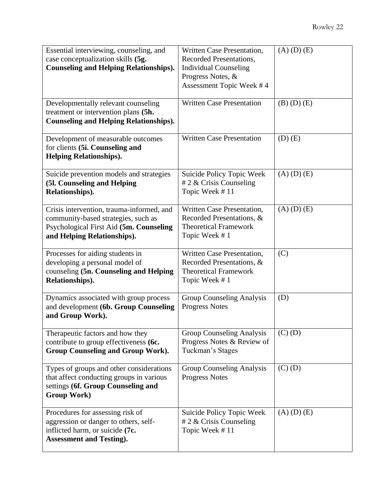| Essential interviewing, counseling, and<br>case conceptualization skills (5g.<br><b>Counseling and Helping Relationships).</b>                             | Written Case Presentation,<br>Recorded Presentations,<br><b>Individual Counseling</b><br>Progress Notes, &<br>Assessment Topic Week #4 | $(A)$ $(D)$ $(E)$ |
|------------------------------------------------------------------------------------------------------------------------------------------------------------|----------------------------------------------------------------------------------------------------------------------------------------|-------------------|
| Developmentally relevant counseling<br>treatment or intervention plans (5h.<br><b>Counseling and Helping Relationships).</b>                               | <b>Written Case Presentation</b>                                                                                                       | $(B)$ $(D)$ $(E)$ |
| Development of measurable outcomes<br>for clients (5i. Counseling and<br><b>Helping Relationships).</b>                                                    | <b>Written Case Presentation</b>                                                                                                       | $(D)$ $(E)$       |
| Suicide prevention models and strategies<br>(5l. Counseling and Helping<br>Relationships).                                                                 | Suicide Policy Topic Week<br># 2 & Crisis Counseling<br>Topic Week #11                                                                 | $(A)$ $(D)$ $(E)$ |
| Crisis intervention, trauma-informed, and<br>community-based strategies, such as<br>Psychological First Aid (5m. Counseling<br>and Helping Relationships). | Written Case Presentation,<br>Recorded Presentations, &<br><b>Theoretical Framework</b><br>Topic Week #1                               | $(A)$ $(D)$ $(E)$ |
| Processes for aiding students in<br>developing a personal model of<br>counseling (5n. Counseling and Helping<br>Relationships).                            | Written Case Presentation,<br>Recorded Presentations, &<br><b>Theoretical Framework</b><br>Topic Week #1                               | (C)               |
| Dynamics associated with group process<br>and development (6b. Group Counseling<br>and Group Work).                                                        | Group Counseling Analysis<br><b>Progress Notes</b>                                                                                     | (D)               |
| Therapeutic factors and how they<br>contribute to group effectiveness (6c.<br><b>Group Counseling and Group Work).</b>                                     | Group Counseling Analysis<br>Progress Notes & Review of<br>Tuckman's Stages                                                            | $(C)$ $(D)$       |
| Types of groups and other considerations<br>that affect conducting groups in various<br>settings (6f. Group Counseling and<br><b>Group Work)</b>           | Group Counseling Analysis<br><b>Progress Notes</b>                                                                                     | $(C)$ $(D)$       |
| Procedures for assessing risk of<br>aggression or danger to others, self-<br>inflicted harm, or suicide (7c.<br><b>Assessment and Testing).</b>            | Suicide Policy Topic Week<br># 2 $\&$ Crisis Counseling<br>Topic Week #11                                                              | $(A)$ $(D)$ $(E)$ |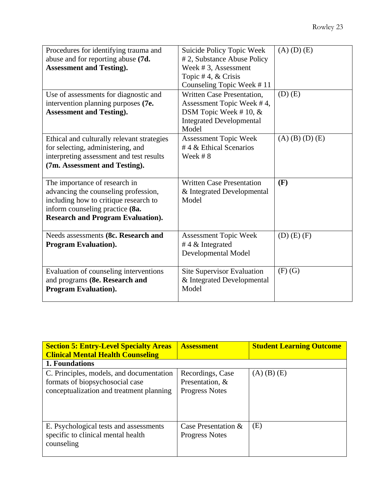| Procedures for identifying trauma and<br>abuse and for reporting abuse (7d.<br><b>Assessment and Testing).</b>                                                                                | Suicide Policy Topic Week<br># 2, Substance Abuse Policy<br>Week #3, Assessment<br>Topic #4, $&$ Crisis<br>Counseling Topic Week #11 | $(A)$ $(D)$ $(E)$ |
|-----------------------------------------------------------------------------------------------------------------------------------------------------------------------------------------------|--------------------------------------------------------------------------------------------------------------------------------------|-------------------|
| Use of assessments for diagnostic and<br>intervention planning purposes (7e.<br><b>Assessment and Testing).</b>                                                                               | Written Case Presentation.<br>Assessment Topic Week #4,<br>DSM Topic Week #10, $&$<br><b>Integrated Developmental</b><br>Model       | $(D)$ $(E)$       |
| Ethical and culturally relevant strategies<br>for selecting, administering, and<br>interpreting assessment and test results<br>(7m. Assessment and Testing).                                  | Assessment Topic Week<br>#4 & Ethical Scenarios<br>Week #8                                                                           | $(A)$ (B) (D) (E) |
| The importance of research in<br>advancing the counseling profession,<br>including how to critique research to<br>inform counseling practice (8a.<br><b>Research and Program Evaluation).</b> | <b>Written Case Presentation</b><br>& Integrated Developmental<br>Model                                                              | (F)               |
| Needs assessments (8c. Research and<br><b>Program Evaluation).</b>                                                                                                                            | <b>Assessment Topic Week</b><br>#4 $\&$ Integrated<br>Developmental Model                                                            | $(D)$ $(E)$ $(F)$ |
| Evaluation of counseling interventions<br>and programs (8e. Research and<br><b>Program Evaluation).</b>                                                                                       | Site Supervisor Evaluation<br>& Integrated Developmental<br>Model                                                                    | $(F)$ $(G)$       |

| <b>Section 5: Entry-Level Specialty Areas</b><br><b>Clinical Mental Health Counseling</b>                               | <b>Assessment</b>                                            | <b>Student Learning Outcome</b> |
|-------------------------------------------------------------------------------------------------------------------------|--------------------------------------------------------------|---------------------------------|
| 1. Foundations                                                                                                          |                                                              |                                 |
| C. Principles, models, and documentation<br>formats of biopsychosocial case<br>conceptualization and treatment planning | Recordings, Case<br>Presentation, &<br><b>Progress Notes</b> | $(A)$ $(B)$ $(E)$               |
| E. Psychological tests and assessments<br>specific to clinical mental health<br>counseling                              | Case Presentation &<br><b>Progress Notes</b>                 | (E)                             |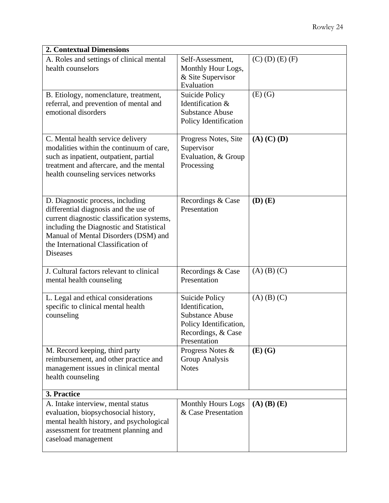| <b>2. Contextual Dimensions</b>                                                                                                                                                                                                                                       |                                                                                                                                    |                     |  |  |
|-----------------------------------------------------------------------------------------------------------------------------------------------------------------------------------------------------------------------------------------------------------------------|------------------------------------------------------------------------------------------------------------------------------------|---------------------|--|--|
| A. Roles and settings of clinical mental<br>health counselors                                                                                                                                                                                                         | Self-Assessment,<br>Monthly Hour Logs,<br>& Site Supervisor<br>Evaluation                                                          | $(C)$ (D) $(E)$ (F) |  |  |
| B. Etiology, nomenclature, treatment,<br>referral, and prevention of mental and<br>emotional disorders                                                                                                                                                                | Suicide Policy<br>Identification &<br><b>Substance Abuse</b><br>Policy Identification                                              | $(E)$ $(G)$         |  |  |
| C. Mental health service delivery<br>modalities within the continuum of care,<br>such as inpatient, outpatient, partial<br>treatment and aftercare, and the mental<br>health counseling services networks                                                             | Progress Notes, Site<br>Supervisor<br>Evaluation, & Group<br>Processing                                                            | $(A)$ $(C)$ $(D)$   |  |  |
| D. Diagnostic process, including<br>differential diagnosis and the use of<br>current diagnostic classification systems,<br>including the Diagnostic and Statistical<br>Manual of Mental Disorders (DSM) and<br>the International Classification of<br><b>Diseases</b> | Recordings & Case<br>Presentation                                                                                                  | $(D)$ $(E)$         |  |  |
| J. Cultural factors relevant to clinical<br>mental health counseling                                                                                                                                                                                                  | Recordings & Case<br>Presentation                                                                                                  | $(A)$ $(B)$ $(C)$   |  |  |
| L. Legal and ethical considerations<br>specific to clinical mental health<br>counseling                                                                                                                                                                               | <b>Suicide Policy</b><br>Identification,<br><b>Substance Abuse</b><br>Policy Identification,<br>Recordings, & Case<br>Presentation | $(A)$ $(B)$ $(C)$   |  |  |
| M. Record keeping, third party<br>reimbursement, and other practice and<br>management issues in clinical mental<br>health counseling                                                                                                                                  | Progress Notes &<br>Group Analysis<br><b>Notes</b>                                                                                 | $(E)$ $(G)$         |  |  |
| 3. Practice                                                                                                                                                                                                                                                           |                                                                                                                                    |                     |  |  |
| A. Intake interview, mental status<br>evaluation, biopsychosocial history,<br>mental health history, and psychological<br>assessment for treatment planning and<br>caseload management                                                                                | <b>Monthly Hours Logs</b><br>& Case Presentation                                                                                   | $(A)$ $(B)$ $(E)$   |  |  |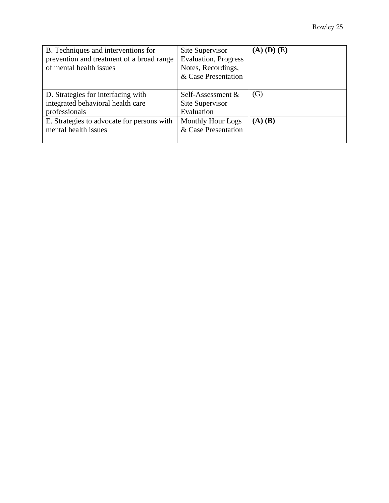| B. Techniques and interventions for<br>prevention and treatment of a broad range<br>of mental health issues | Site Supervisor<br><b>Evaluation</b> , Progress<br>Notes, Recordings,<br>& Case Presentation | $(A)$ $(D)$ $(E)$ |
|-------------------------------------------------------------------------------------------------------------|----------------------------------------------------------------------------------------------|-------------------|
| D. Strategies for interfacing with<br>integrated behavioral health care<br>professionals                    | Self-Assessment &<br>Site Supervisor<br>Evaluation                                           | (G)               |
| E. Strategies to advocate for persons with<br>mental health issues                                          | <b>Monthly Hour Logs</b><br>& Case Presentation                                              | $(A)$ $(B)$       |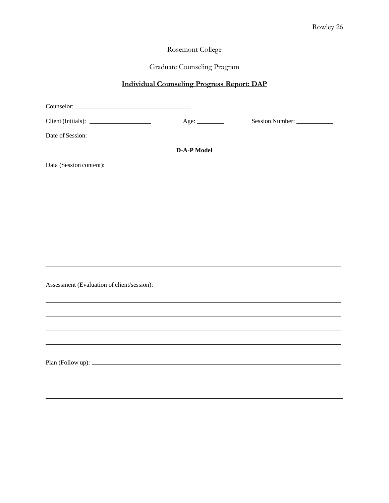# Graduate Counseling Program

# **Individual Counseling Progress Report: DAP**

| Age:               | Session Number:                                                                                                       |
|--------------------|-----------------------------------------------------------------------------------------------------------------------|
|                    |                                                                                                                       |
| <b>D-A-P Model</b> |                                                                                                                       |
|                    |                                                                                                                       |
|                    | ,我们也不会有什么。""我们的人,我们也不会有什么?""我们的人,我们也不会有什么?""我们的人,我们也不会有什么?""我们的人,我们也不会有什么?""我们的人                                      |
|                    |                                                                                                                       |
|                    |                                                                                                                       |
|                    | <u> 1980 - Jan Barnett, fransk politiker (d. 1980)</u>                                                                |
|                    |                                                                                                                       |
|                    | <u> 1989 - Johann Stoff, deutscher Stoff, der Stoff, der Stoff, der Stoff, der Stoff, der Stoff, der Stoff, der S</u> |
|                    |                                                                                                                       |
|                    |                                                                                                                       |
|                    |                                                                                                                       |
|                    | ,我们也不会有什么。""我们的人,我们也不会有什么?""我们的人,我们也不会有什么?""我们的人,我们也不会有什么?""我们的人,我们也不会有什么?""我们的人                                      |
|                    |                                                                                                                       |
|                    |                                                                                                                       |
|                    |                                                                                                                       |
|                    |                                                                                                                       |
|                    |                                                                                                                       |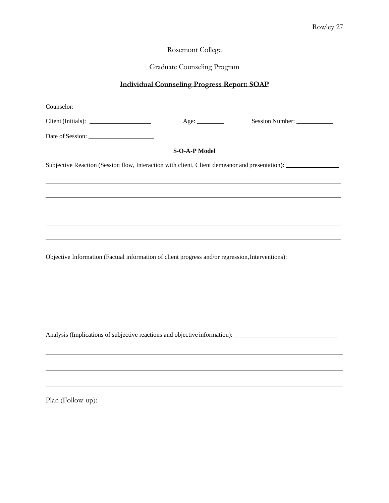## Graduate Counseling Program

# **Individual Counseling Progress Report: SOAP**

|                                                                                                                | Age: $\qquad \qquad$ | Session Number: |  |  |  |
|----------------------------------------------------------------------------------------------------------------|----------------------|-----------------|--|--|--|
|                                                                                                                |                      |                 |  |  |  |
|                                                                                                                | <b>S-O-A-P Model</b> |                 |  |  |  |
| Subjective Reaction (Session flow, Interaction with client, Client demeanor and presentation): _______________ |                      |                 |  |  |  |
|                                                                                                                |                      |                 |  |  |  |
|                                                                                                                |                      |                 |  |  |  |
|                                                                                                                |                      |                 |  |  |  |
| Objective Information (Factual information of client progress and/or regression, Interventions):               |                      |                 |  |  |  |
|                                                                                                                |                      |                 |  |  |  |
|                                                                                                                |                      |                 |  |  |  |
| Analysis (Implications of subjective reactions and objective information): _________________________           |                      |                 |  |  |  |
|                                                                                                                |                      |                 |  |  |  |
|                                                                                                                |                      |                 |  |  |  |
| ,我们也不会有什么。""我们的人,我们也不会有什么?""我们的人,我们也不会有什么?""我们的人,我们也不会有什么?""我们的人,我们也不会有什么?""我们的人                               |                      |                 |  |  |  |

Plan (Follow-up):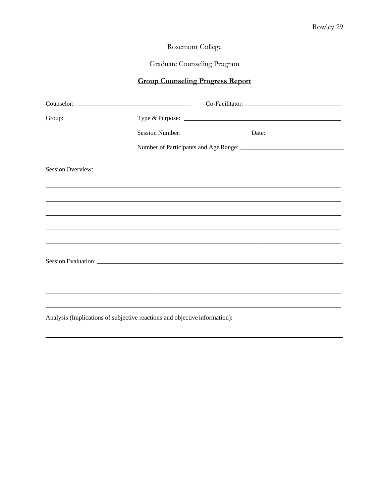# Graduate Counseling Program

# **Group Counseling Progress Report**

| Counselor: 2000 and 2000 and 2000 and 2000 and 2000 and 2000 and 2000 and 2000 and 2000 and 2000 and 2000 and 2000 and 2000 and 2000 and 2000 and 2000 and 2000 and 2000 and 2000 and 2000 and 2000 and 2000 and 2000 and 2000 |  |  |                                                                                   |
|--------------------------------------------------------------------------------------------------------------------------------------------------------------------------------------------------------------------------------|--|--|-----------------------------------------------------------------------------------|
| Group:                                                                                                                                                                                                                         |  |  | Type & Purpose:                                                                   |
|                                                                                                                                                                                                                                |  |  | Session Number: Date: Date:                                                       |
|                                                                                                                                                                                                                                |  |  |                                                                                   |
|                                                                                                                                                                                                                                |  |  |                                                                                   |
|                                                                                                                                                                                                                                |  |  |                                                                                   |
|                                                                                                                                                                                                                                |  |  |                                                                                   |
|                                                                                                                                                                                                                                |  |  |                                                                                   |
|                                                                                                                                                                                                                                |  |  |                                                                                   |
|                                                                                                                                                                                                                                |  |  | ,我们也不能会在这里,我们也不能会在这里,我们也不能会在这里,我们也不能会在这里,我们也不能会在这里,我们也不能会在这里,我们也不能会不能会不能会。""我们,我们 |
| Session Evaluation: New York Session Evaluation:                                                                                                                                                                               |  |  |                                                                                   |
|                                                                                                                                                                                                                                |  |  | ,我们也不会有什么。""我们的人,我们也不会有什么?""我们的人,我们也不会有什么?""我们的人,我们也不会有什么?""我们的人,我们也不会有什么?""我们的人  |
|                                                                                                                                                                                                                                |  |  |                                                                                   |
|                                                                                                                                                                                                                                |  |  |                                                                                   |
| Analysis (Implications of subjective reactions and objective information): _________________________                                                                                                                           |  |  |                                                                                   |
|                                                                                                                                                                                                                                |  |  |                                                                                   |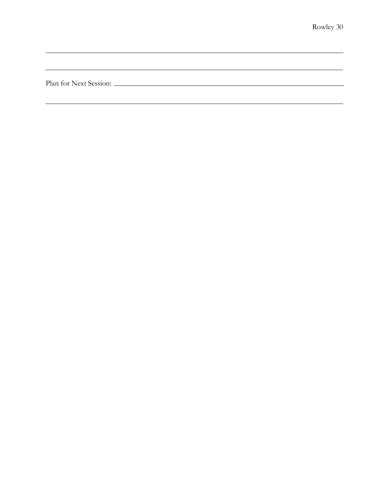Plan for Next Session: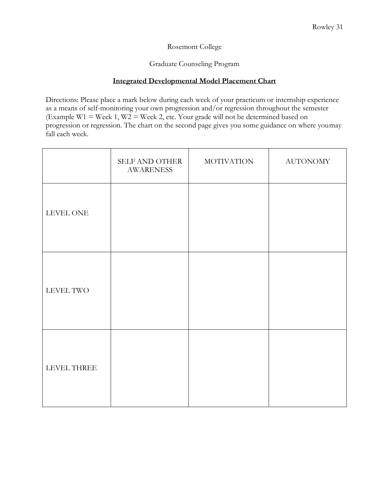Graduate Counseling Program

### **Integrated Developmental Model Placement Chart**

Directions: Please place a mark below during each week of your practicum or internship experience as a means of self-monitoring your own progression and/or regression throughout the semester (Example W1 = Week 1, W2 = Week 2, etc. Your grade will not be determined based on progression or regression. The chart on the second page gives you some guidance on where youmay fall each week.

|             | SELF AND OTHER<br><b>AWARENESS</b> | <b>MOTIVATION</b> | <b>AUTONOMY</b> |
|-------------|------------------------------------|-------------------|-----------------|
|             |                                    |                   |                 |
| LEVEL TWO   |                                    |                   |                 |
| LEVEL THREE |                                    |                   |                 |